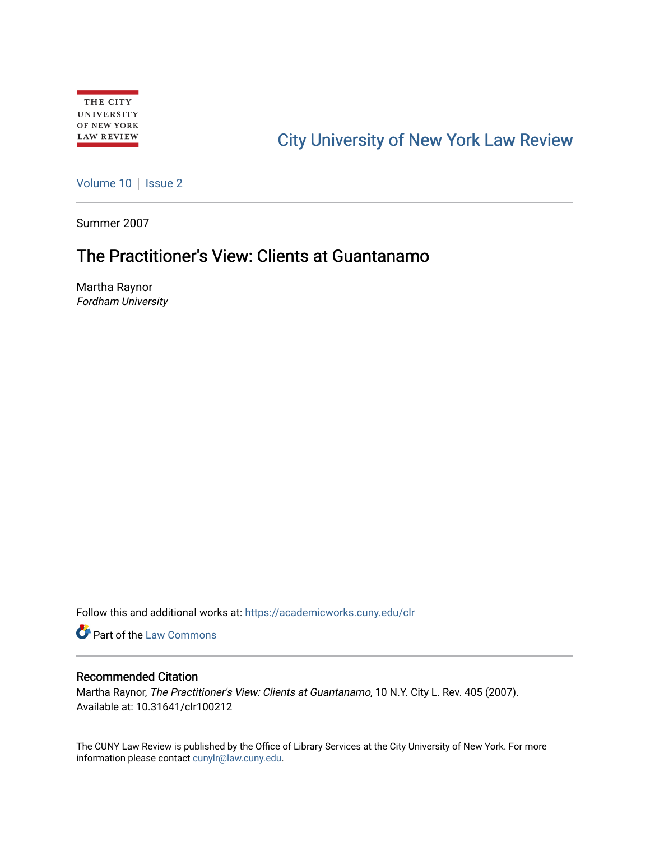# [City University of New York Law Review](https://academicworks.cuny.edu/clr)

[Volume 10](https://academicworks.cuny.edu/clr/vol10) | [Issue 2](https://academicworks.cuny.edu/clr/vol10/iss2)

Summer 2007

## The Practitioner's View: Clients at Guantanamo

Martha Raynor Fordham University

Follow this and additional works at: [https://academicworks.cuny.edu/clr](https://academicworks.cuny.edu/clr?utm_source=academicworks.cuny.edu%2Fclr%2Fvol10%2Fiss2%2F13&utm_medium=PDF&utm_campaign=PDFCoverPages) 

**Part of the [Law Commons](http://network.bepress.com/hgg/discipline/578?utm_source=academicworks.cuny.edu%2Fclr%2Fvol10%2Fiss2%2F13&utm_medium=PDF&utm_campaign=PDFCoverPages)** 

### Recommended Citation

Martha Raynor, The Practitioner's View: Clients at Guantanamo, 10 N.Y. City L. Rev. 405 (2007). Available at: 10.31641/clr100212

The CUNY Law Review is published by the Office of Library Services at the City University of New York. For more information please contact [cunylr@law.cuny.edu](mailto:cunylr@law.cuny.edu).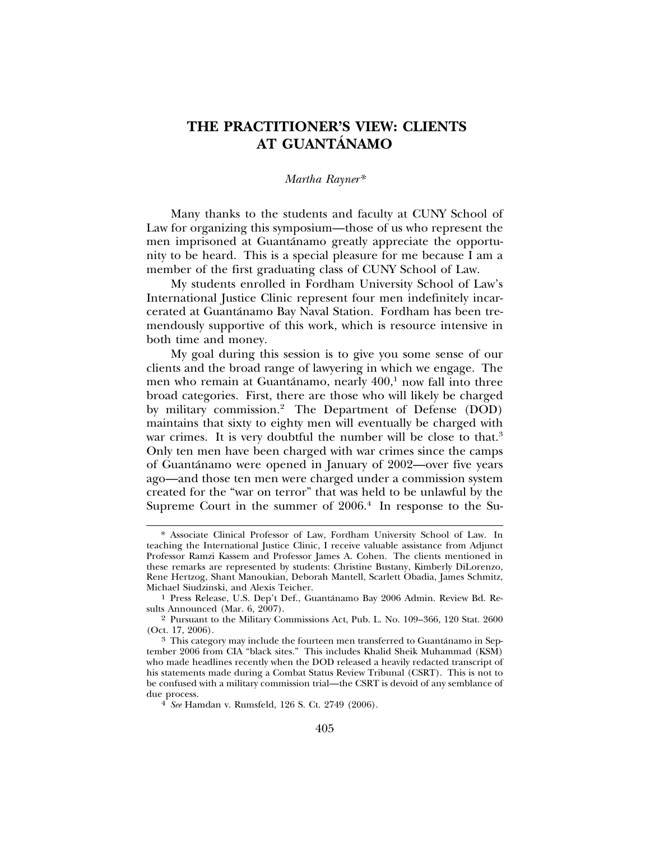### **THE PRACTITIONER'S VIEW: CLIENTS AT GUANTANAMO ´**

#### *Martha Rayner\**

Many thanks to the students and faculty at CUNY School of Law for organizing this symposium—those of us who represent the men imprisoned at Guantánamo greatly appreciate the opportunity to be heard. This is a special pleasure for me because I am a member of the first graduating class of CUNY School of Law.

My students enrolled in Fordham University School of Law's International Justice Clinic represent four men indefinitely incarcerated at Guantánamo Bay Naval Station. Fordham has been tremendously supportive of this work, which is resource intensive in both time and money.

My goal during this session is to give you some sense of our clients and the broad range of lawyering in which we engage. The men who remain at Guantánamo, nearly  $400,^1$  now fall into three broad categories. First, there are those who will likely be charged by military commission.2 The Department of Defense (DOD) maintains that sixty to eighty men will eventually be charged with war crimes. It is very doubtful the number will be close to that.<sup>3</sup> Only ten men have been charged with war crimes since the camps of Guantánamo were opened in January of 2002—over five years ago—and those ten men were charged under a commission system created for the "war on terror" that was held to be unlawful by the Supreme Court in the summer of  $2006<sup>4</sup>$  In response to the Su-

<sup>\*</sup> Associate Clinical Professor of Law, Fordham University School of Law. In teaching the International Justice Clinic, I receive valuable assistance from Adjunct Professor Ramzi Kassem and Professor James A. Cohen. The clients mentioned in these remarks are represented by students: Christine Bustany, Kimberly DiLorenzo, Rene Hertzog, Shant Manoukian, Deborah Mantell, Scarlett Obadia, James Schmitz,

<sup>&</sup>lt;sup>1</sup> Press Release, U.S. Dep't Def., Guantánamo Bay 2006 Admin. Review Bd. Results Announced (Mar. 6, 2007).

<sup>2</sup> Pursuant to the Military Commissions Act, Pub. L. No. 109–366, 120 Stat. 2600

<sup>&</sup>lt;sup>3</sup> This category may include the fourteen men transferred to Guantánamo in September 2006 from CIA "black sites." This includes Khalid Sheik Muhammad (KSM) who made headlines recently when the DOD released a heavily redacted transcript of his statements made during a Combat Status Review Tribunal (CSRT). This is not to be confused with a military commission trial—the CSRT is devoid of any semblance of due process. <sup>4</sup> *See* Hamdan v. Rumsfeld, 126 S. Ct. 2749 (2006).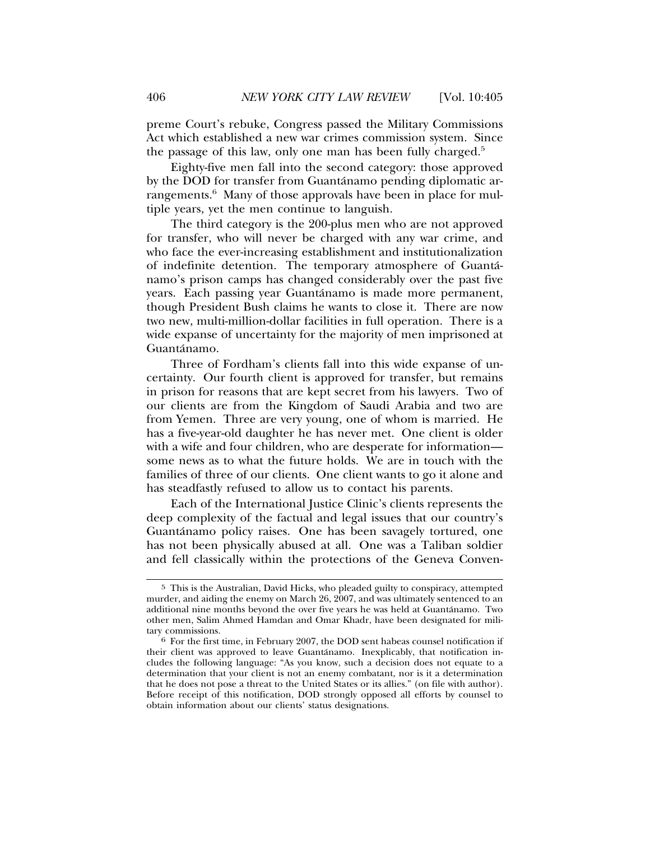preme Court's rebuke, Congress passed the Military Commissions Act which established a new war crimes commission system. Since the passage of this law, only one man has been fully charged.5

Eighty-five men fall into the second category: those approved by the DOD for transfer from Guantánamo pending diplomatic arrangements.<sup>6</sup> Many of those approvals have been in place for multiple years, yet the men continue to languish.

The third category is the 200-plus men who are not approved for transfer, who will never be charged with any war crime, and who face the ever-increasing establishment and institutionalization of indefinite detention. The temporary atmosphere of Guanta-´ namo's prison camps has changed considerably over the past five years. Each passing year Guantánamo is made more permanent, though President Bush claims he wants to close it. There are now two new, multi-million-dollar facilities in full operation. There is a wide expanse of uncertainty for the majority of men imprisoned at Guantánamo.

Three of Fordham's clients fall into this wide expanse of uncertainty. Our fourth client is approved for transfer, but remains in prison for reasons that are kept secret from his lawyers. Two of our clients are from the Kingdom of Saudi Arabia and two are from Yemen. Three are very young, one of whom is married. He has a five-year-old daughter he has never met. One client is older with a wife and four children, who are desperate for information some news as to what the future holds. We are in touch with the families of three of our clients. One client wants to go it alone and has steadfastly refused to allow us to contact his parents.

Each of the International Justice Clinic's clients represents the deep complexity of the factual and legal issues that our country's Guantánamo policy raises. One has been savagely tortured, one has not been physically abused at all. One was a Taliban soldier and fell classically within the protections of the Geneva Conven-

<sup>5</sup> This is the Australian, David Hicks, who pleaded guilty to conspiracy, attempted murder, and aiding the enemy on March 26, 2007, and was ultimately sentenced to an additional nine months beyond the over five years he was held at Guantanamo. Two ´ other men, Salim Ahmed Hamdan and Omar Khadr, have been designated for mili-

 $6$  For the first time, in February 2007, the DOD sent habeas counsel notification if their client was approved to leave Guantánamo. Inexplicably, that notification includes the following language: "As you know, such a decision does not equate to a determination that your client is not an enemy combatant, nor is it a determination that he does not pose a threat to the United States or its allies." (on file with author). Before receipt of this notification, DOD strongly opposed all efforts by counsel to obtain information about our clients' status designations.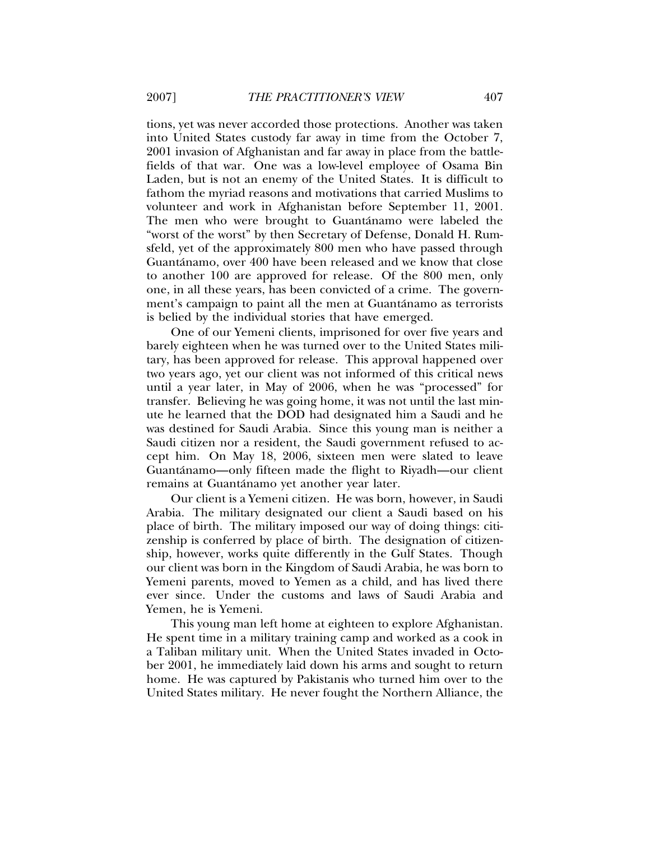tions, yet was never accorded those protections. Another was taken into United States custody far away in time from the October 7, 2001 invasion of Afghanistan and far away in place from the battlefields of that war. One was a low-level employee of Osama Bin Laden, but is not an enemy of the United States. It is difficult to fathom the myriad reasons and motivations that carried Muslims to volunteer and work in Afghanistan before September 11, 2001. The men who were brought to Guantánamo were labeled the "worst of the worst" by then Secretary of Defense, Donald H. Rumsfeld, yet of the approximately 800 men who have passed through Guantánamo, over 400 have been released and we know that close to another 100 are approved for release. Of the 800 men, only one, in all these years, has been convicted of a crime. The government's campaign to paint all the men at Guantánamo as terrorists is belied by the individual stories that have emerged.

One of our Yemeni clients, imprisoned for over five years and barely eighteen when he was turned over to the United States military, has been approved for release. This approval happened over two years ago, yet our client was not informed of this critical news until a year later, in May of 2006, when he was "processed" for transfer. Believing he was going home, it was not until the last minute he learned that the DOD had designated him a Saudi and he was destined for Saudi Arabia. Since this young man is neither a Saudi citizen nor a resident, the Saudi government refused to accept him. On May 18, 2006, sixteen men were slated to leave Guantánamo—only fifteen made the flight to Riyadh—our client remains at Guantánamo yet another year later.

Our client is a Yemeni citizen. He was born, however, in Saudi Arabia. The military designated our client a Saudi based on his place of birth. The military imposed our way of doing things: citizenship is conferred by place of birth. The designation of citizenship, however, works quite differently in the Gulf States. Though our client was born in the Kingdom of Saudi Arabia, he was born to Yemeni parents, moved to Yemen as a child, and has lived there ever since. Under the customs and laws of Saudi Arabia and Yemen, he is Yemeni.

This young man left home at eighteen to explore Afghanistan. He spent time in a military training camp and worked as a cook in a Taliban military unit. When the United States invaded in October 2001, he immediately laid down his arms and sought to return home. He was captured by Pakistanis who turned him over to the United States military. He never fought the Northern Alliance, the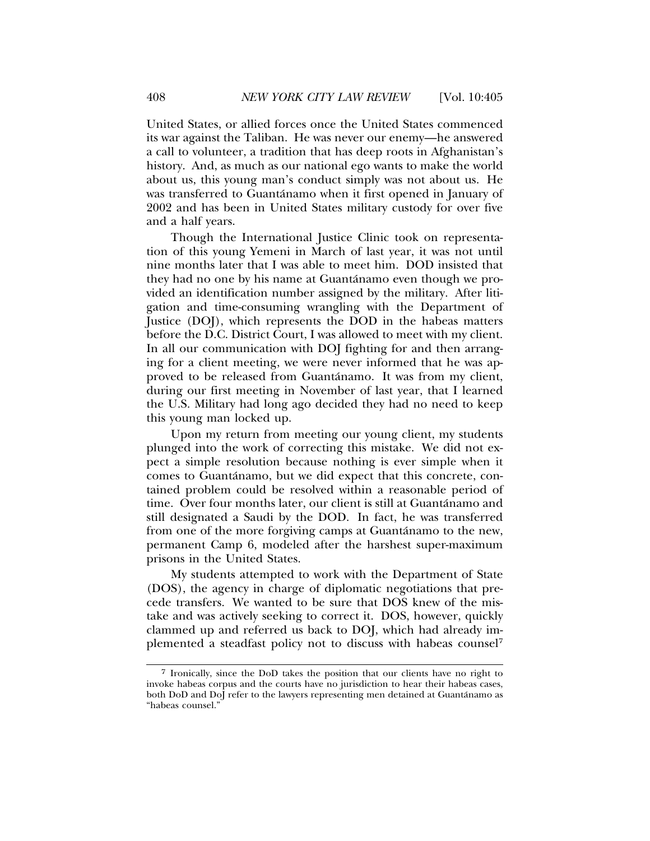United States, or allied forces once the United States commenced its war against the Taliban. He was never our enemy—he answered a call to volunteer, a tradition that has deep roots in Afghanistan's history. And, as much as our national ego wants to make the world about us, this young man's conduct simply was not about us. He was transferred to Guantánamo when it first opened in January of 2002 and has been in United States military custody for over five and a half years.

Though the International Justice Clinic took on representation of this young Yemeni in March of last year, it was not until nine months later that I was able to meet him. DOD insisted that they had no one by his name at Guantánamo even though we provided an identification number assigned by the military. After litigation and time-consuming wrangling with the Department of Justice (DOJ), which represents the DOD in the habeas matters before the D.C. District Court, I was allowed to meet with my client. In all our communication with DOJ fighting for and then arranging for a client meeting, we were never informed that he was approved to be released from Guantánamo. It was from my client, during our first meeting in November of last year, that I learned the U.S. Military had long ago decided they had no need to keep this young man locked up.

Upon my return from meeting our young client, my students plunged into the work of correcting this mistake. We did not expect a simple resolution because nothing is ever simple when it comes to Guantánamo, but we did expect that this concrete, contained problem could be resolved within a reasonable period of time. Over four months later, our client is still at Guantánamo and still designated a Saudi by the DOD. In fact, he was transferred from one of the more forgiving camps at Guantánamo to the new, permanent Camp 6, modeled after the harshest super-maximum prisons in the United States.

My students attempted to work with the Department of State (DOS), the agency in charge of diplomatic negotiations that precede transfers. We wanted to be sure that DOS knew of the mistake and was actively seeking to correct it. DOS, however, quickly clammed up and referred us back to DOJ, which had already implemented a steadfast policy not to discuss with habeas counsel7

<sup>7</sup> Ironically, since the DoD takes the position that our clients have no right to invoke habeas corpus and the courts have no jurisdiction to hear their habeas cases, both DoD and DoJ refer to the lawyers representing men detained at Guantánamo as "habeas counsel."